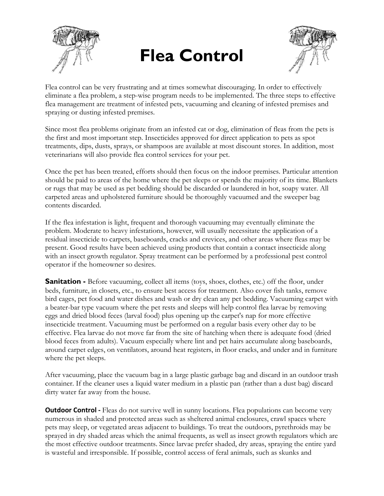

## **Flea Control**



Flea control can be very frustrating and at times somewhat discouraging. In order to effectively eliminate a flea problem, a step-wise program needs to be implemented. The three steps to effective flea management are treatment of infested pets, vacuuming and cleaning of infested premises and spraying or dusting infested premises.

Since most flea problems originate from an infested cat or dog, elimination of fleas from the pets is the first and most important step. Insecticides approved for direct application to pets as spot treatments, dips, dusts, sprays, or shampoos are available at most discount stores. In addition, most veterinarians will also provide flea control services for your pet.

Once the pet has been treated, efforts should then focus on the indoor premises. Particular attention should be paid to areas of the home where the pet sleeps or spends the majority of its time. Blankets or rugs that may be used as pet bedding should be discarded or laundered in hot, soapy water. All carpeted areas and upholstered furniture should be thoroughly vacuumed and the sweeper bag contents discarded.

If the flea infestation is light, frequent and thorough vacuuming may eventually eliminate the problem. Moderate to heavy infestations, however, will usually necessitate the application of a residual insecticide to carpets, baseboards, cracks and crevices, and other areas where fleas may be present. Good results have been achieved using products that contain a contact insecticide along with an insect growth regulator. Spray treatment can be performed by a professional pest control operator if the homeowner so desires.

**Sanitation -** Before vacuuming, collect all items (toys, shoes, clothes, etc.) off the floor, under beds, furniture, in closets, etc., to ensure best access for treatment. Also cover fish tanks, remove bird cages, pet food and water dishes and wash or dry clean any pet bedding. Vacuuming carpet with a beater-bar type vacuum where the pet rests and sleeps will help control flea larvae by removing eggs and dried blood feces (larval food) plus opening up the carpet's nap for more effective insecticide treatment. Vacuuming must be performed on a regular basis every other day to be effective. Flea larvae do not move far from the site of hatching when there is adequate food (dried blood feces from adults). Vacuum especially where lint and pet hairs accumulate along baseboards, around carpet edges, on ventilators, around heat registers, in floor cracks, and under and in furniture where the pet sleeps.

After vacuuming, place the vacuum bag in a large plastic garbage bag and discard in an outdoor trash container. If the cleaner uses a liquid water medium in a plastic pan (rather than a dust bag) discard dirty water far away from the house.

**Outdoor Control** - Fleas do not survive well in sunny locations. Flea populations can become very numerous in shaded and protected areas such as sheltered animal enclosures, crawl spaces where pets may sleep, or vegetated areas adjacent to buildings. To treat the outdoors, pyrethroids may be sprayed in dry shaded areas which the animal frequents, as well as insect growth regulators which are the most effective outdoor treatments. Since larvae prefer shaded, dry areas, spraying the entire yard is wasteful and irresponsible. If possible, control access of feral animals, such as skunks and